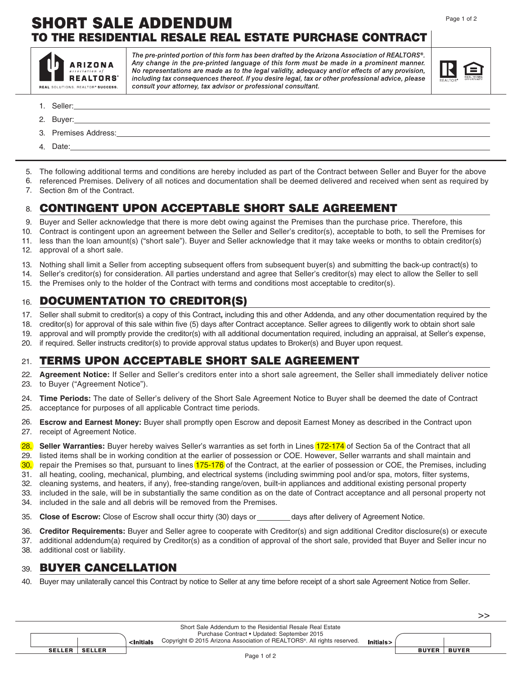# SHORT SALE ADDENDUM TO THE RESIDENTIAL RESALE REAL ESTATE PURCHASE CONTRACT



The pre-printed portion of this form has been drafted by the Arizona Association of REALTORS®. Any change in the pre-printed language of this form must be made in a prominent manner. No representations are made as to the legal validity, adequacy and/or effects of any provision, including tax consequences thereof. If you desire legal, tax or other professional advice, please consult your attorney, tax advisor or professional consultant.



>>

- Seller: 1.
- 2. Buyer:
- 3. Premises Address:
- 4. Date:\_

5. The following additional terms and conditions are hereby included as part of the Contract between Seller and Buyer for the above

referenced Premises. Delivery of all notices and documentation shall be deemed delivered and received when sent as required by Section 8m of the Contract. 6. 7.

# CONTINGENT UPON ACCEPTABLE SHORT SALE AGREEMENT 8.

Buyer and Seller acknowledge that there is more debt owing against the Premises than the purchase price. Therefore, this 9.

- Contract is contingent upon an agreement between the Seller and Seller's creditor(s), acceptable to both, to sell the Premises for 10.
- less than the loan amount(s) ("short sale"). Buyer and Seller acknowledge that it may take weeks or months to obtain creditor(s) approval of a short sale. 11. 12.
- Nothing shall limit a Seller from accepting subsequent offers from subsequent buyer(s) and submitting the back-up contract(s) to 13.
- Seller's creditor(s) for consideration. All parties understand and agree that Seller's creditor(s) may elect to allow the Seller to sell 14.
- the Premises only to the holder of the Contract with terms and conditions most acceptable to creditor(s). 15.

# DOCUMENTATION TO CREDITOR(S) 16.

Seller shall submit to creditor(s) a copy of this Contract**,** including this and other Addenda, and any other documentation required by the 17.

creditor(s) for approval of this sale within five (5) days after Contract acceptance. Seller agrees to diligently work to obtain short sale 18.

- approval and will promptly provide the creditor(s) with all additional documentation required, including an appraisal, at Seller's expense, 19.
- if required. Seller instructs creditor(s) to provide approval status updates to Broker(s) and Buyer upon request. 20.

## TERMS UPON ACCEPTABLE SHORT SALE AGREEMENT 21.

**Agreement Notice:** If Seller and Seller's creditors enter into a short sale agreement, the Seller shall immediately deliver notice to Buyer ("Agreement Notice"). 22. 23.

**Time Periods:** The date of Seller's delivery of the Short Sale Agreement Notice to Buyer shall be deemed the date of Contract acceptance for purposes of all applicable Contract time periods. 24. 25.

**Escrow and Earnest Money:** Buyer shall promptly open Escrow and deposit Earnest Money as described in the Contract upon receipt of Agreement Notice. 26. 27.

**Seller Warranties:** Buyer hereby waives Seller's warranties as set forth in Lines 172-174 of Section 5a of the Contract that all listed items shall be in working condition at the earlier of possession or COE. However, Seller warrants and shall maintain and 28. 29.

repair the Premises so that, pursuant to lines 175-176 of the Contract, at the earlier of possession or COE, the Premises, including 30.

31. all heating, cooling, mechanical, plumbing, and electrical systems (including swimming pool and/or spa, motors, filter systems, 32.

cleaning systems, and heaters, if any), free-standing range/oven, built-in appliances and additional existing personal property

- included in the sale, will be in substantially the same condition as on the date of Contract acceptance and all personal property not included in the sale and all debris will be removed from the Premises. 33. 34.
- **Close of Escrow:** Close of Escrow shall occur thirty (30) days or days after delivery of Agreement Notice. 35.

**Creditor Requirements:** Buyer and Seller agree to cooperate with Creditor(s) and sign additional Creditor disclosure(s) or execute 36.

- additional addendum(a) required by Creditor(s) as a condition of approval of the short sale, provided that Buyer and Seller incur no additional cost or liability. 37. 38.
- 

#### BUYER CANCELLATION 39.

Buyer may unilaterally cancel this Contract by notice to Seller at any time before receipt of a short sale Agreement Notice from Seller. 40.

|             |        |               | <initials< th=""><th colspan="2">Short Sale Addendum to the Residential Resale Real Estate<br/>Purchase Contract . Updated: September 2015<br/>Copyright © 2015 Arizona Association of REALTORS®. All rights reserved.</th><th colspan="2">Initials&gt;</th><th></th></initials<> | Short Sale Addendum to the Residential Resale Real Estate<br>Purchase Contract . Updated: September 2015<br>Copyright © 2015 Arizona Association of REALTORS®. All rights reserved. |  | Initials>    |              |  |
|-------------|--------|---------------|-----------------------------------------------------------------------------------------------------------------------------------------------------------------------------------------------------------------------------------------------------------------------------------|-------------------------------------------------------------------------------------------------------------------------------------------------------------------------------------|--|--------------|--------------|--|
|             | SELLER | <b>SELLER</b> |                                                                                                                                                                                                                                                                                   |                                                                                                                                                                                     |  | <b>BUYER</b> | <b>BUYER</b> |  |
| Page 1 of 2 |        |               |                                                                                                                                                                                                                                                                                   |                                                                                                                                                                                     |  |              |              |  |